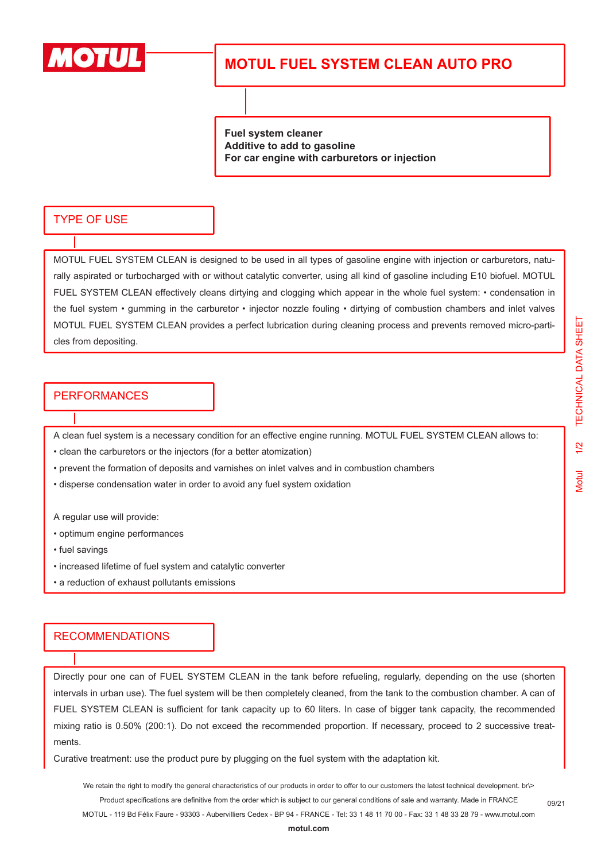

## **MOTUL FUEL SYSTEM CLEAN AUTO PRO**

**Fuel system cleaner Additive to add to gasoline For car engine with carburetors or injection**

### TYPE OF USE

MOTUL FUEL SYSTEM CLEAN is designed to be used in all types of gasoline engine with injection or carburetors, naturally aspirated or turbocharged with or without catalytic converter, using all kind of gasoline including E10 biofuel. MOTUL FUEL SYSTEM CLEAN effectively cleans dirtying and clogging which appear in the whole fuel system: • condensation in the fuel system • gumming in the carburetor • injector nozzle fouling • dirtying of combustion chambers and inlet valves MOTUL FUEL SYSTEM CLEAN provides a perfect lubrication during cleaning process and prevents removed micro-particles from depositing.

#### PERFORMANCES

A clean fuel system is a necessary condition for an effective engine running. MOTUL FUEL SYSTEM CLEAN allows to:

- clean the carburetors or the injectors (for a better atomization)
- prevent the formation of deposits and varnishes on inlet valves and in combustion chambers
- disperse condensation water in order to avoid any fuel system oxidation
- A regular use will provide:
- optimum engine performances
- fuel savings
- increased lifetime of fuel system and catalytic converter
- a reduction of exhaust pollutants emissions

#### RECOMMENDATIONS

Directly pour one can of FUEL SYSTEM CLEAN in the tank before refueling, regularly, depending on the use (shorten intervals in urban use). The fuel system will be then completely cleaned, from the tank to the combustion chamber. A can of FUEL SYSTEM CLEAN is sufficient for tank capacity up to 60 liters. In case of bigger tank capacity, the recommended mixing ratio is 0.50% (200:1). Do not exceed the recommended proportion. If necessary, proceed to 2 successive treatments.

Curative treatment: use the product pure by plugging on the fuel system with the adaptation kit.

We retain the right to modify the general characteristics of our products in order to offer to our customers the latest technical development. br\> Product specifications are definitive from the order which is subject to our general conditions of sale and warranty. Made in FRANCE

MOTUL - 119 Bd Félix Faure - 93303 - Aubervilliers Cedex - BP 94 - FRANCE - Tel: 33 1 48 11 70 00 - Fax: 33 1 48 33 28 79 - www.motul.com

09/21